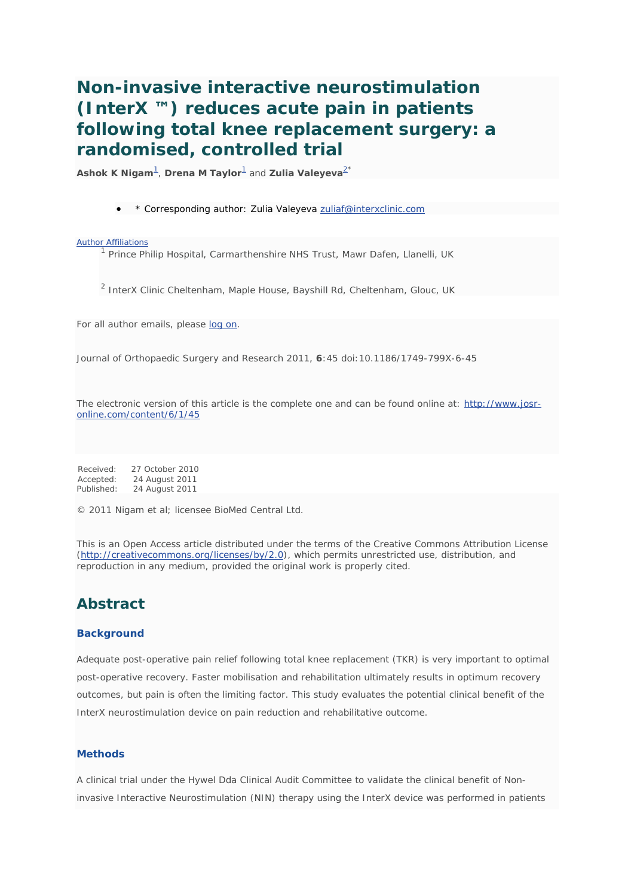# **Non-invasive interactive neurostimulation (InterX ™) reduces acute pain in patients following total knee replacement surgery: a randomised, controlled trial**

 $A$ shok K Nigam $^1$ , Drena M Taylor $^1$  and Zulia Valeyeva $^{2^*}$ 

• \* Corresponding author: Zulia Valeyeva zuliaf@interxclinic.com

### Author Affiliations

<sup>1</sup> Prince Philip Hospital, Carmarthenshire NHS Trust, Mawr Dafen, Llanelli, UK

<sup>2</sup> InterX Clinic Cheltenham, Maple House, Bayshill Rd, Cheltenham, Glouc, UK

For all author emails, please log on.

*Journal of Orthopaedic Surgery and Research* 2011, **6**:45 doi:10.1186/1749-799X-6-45

The electronic version of this article is the complete one and can be found online at: http://www.josronline.com/content/6/1/45

Received: 27 October 2010 Accepted: 24 August 2011 Published: 24 August 2011

© 2011 Nigam et al; licensee BioMed Central Ltd.

This is an Open Access article distributed under the terms of the Creative Commons Attribution License (http://creativecommons.org/licenses/by/2.0), which permits unrestricted use, distribution, and reproduction in any medium, provided the original work is properly cited.

# **Abstract**

### **Background**

*Adequate post-operative pain relief following total knee replacement (TKR) is very important to optimal post-operative recovery. Faster mobilisation and rehabilitation ultimately results in optimum recovery outcomes, but pain is often the limiting factor. This study evaluates the potential clinical benefit of the InterX neurostimulation device on pain reduction and rehabilitative outcome*.

### **Methods**

A clinical trial under the Hywel Dda Clinical Audit Committee to validate the clinical benefit of Noninvasive Interactive Neurostimulation (NIN) therapy using the InterX device was performed in patients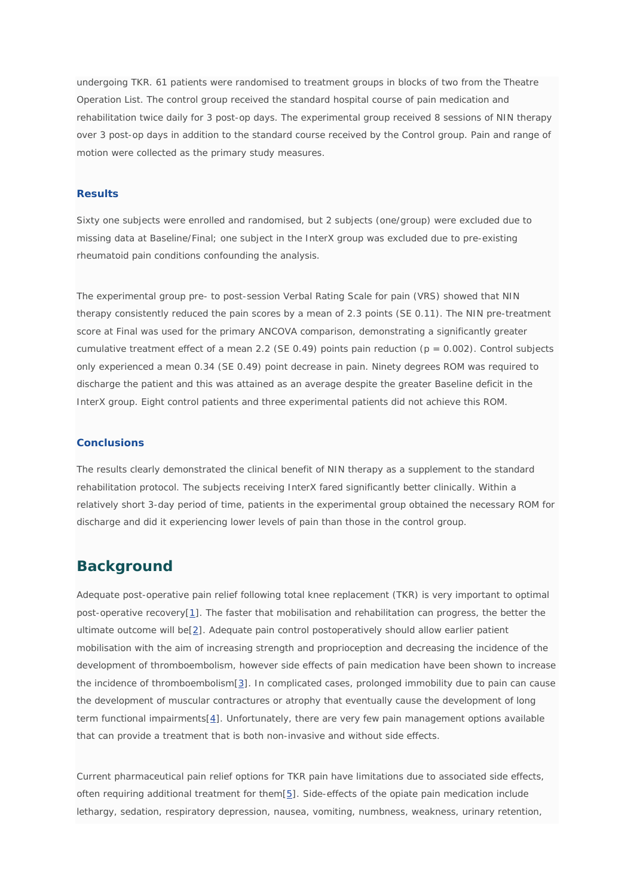undergoing TKR. 61 patients were randomised to treatment groups in blocks of two from the Theatre Operation List. The control group received the standard hospital course of pain medication and rehabilitation twice daily for 3 post-op days. The experimental group received 8 sessions of NIN therapy over 3 post-op days in addition to the standard course received by the Control group. Pain and range of motion were collected as the primary study measures.

### **Results**

Sixty one subjects were enrolled and randomised, but 2 subjects (one/group) were excluded due to missing data at Baseline/Final; one subject in the InterX group was excluded due to pre-existing rheumatoid pain conditions confounding the analysis.

The experimental group pre- to post-session Verbal Rating Scale for pain (VRS) showed that NIN therapy consistently reduced the pain scores by a mean of 2.3 points (SE 0.11). The NIN pre-treatment score at Final was used for the primary ANCOVA comparison, demonstrating a significantly greater cumulative treatment effect of a mean 2.2 (SE 0.49) points pain reduction ( $p = 0.002$ ). Control subjects only experienced a mean 0.34 (SE 0.49) point decrease in pain. Ninety degrees ROM was required to discharge the patient and this was attained as an average despite the greater Baseline deficit in the InterX group. Eight control patients and three experimental patients did not achieve this ROM.

### **Conclusions**

The results clearly demonstrated the clinical benefit of NIN therapy as a supplement to the standard rehabilitation protocol. The subjects receiving InterX fared significantly better clinically. Within a relatively short 3-day period of time, patients in the experimental group obtained the necessary ROM for discharge and did it experiencing lower levels of pain than those in the control group.

## **Background**

Adequate post-operative pain relief following total knee replacement (TKR) is very important to optimal post-operative recovery[1]. The faster that mobilisation and rehabilitation can progress, the better the ultimate outcome will be[2]. Adequate pain control postoperatively should allow earlier patient mobilisation with the aim of increasing strength and proprioception and decreasing the incidence of the development of thromboembolism, however side effects of pain medication have been shown to increase the incidence of thromboembolism[3]. In complicated cases, prolonged immobility due to pain can cause the development of muscular contractures or atrophy that eventually cause the development of long term functional impairments[4]. Unfortunately, there are very few pain management options available that can provide a treatment that is both non-invasive and without side effects.

Current pharmaceutical pain relief options for TKR pain have limitations due to associated side effects, often requiring additional treatment for them $[5]$ . Side-effects of the opiate pain medication include lethargy, sedation, respiratory depression, nausea, vomiting, numbness, weakness, urinary retention,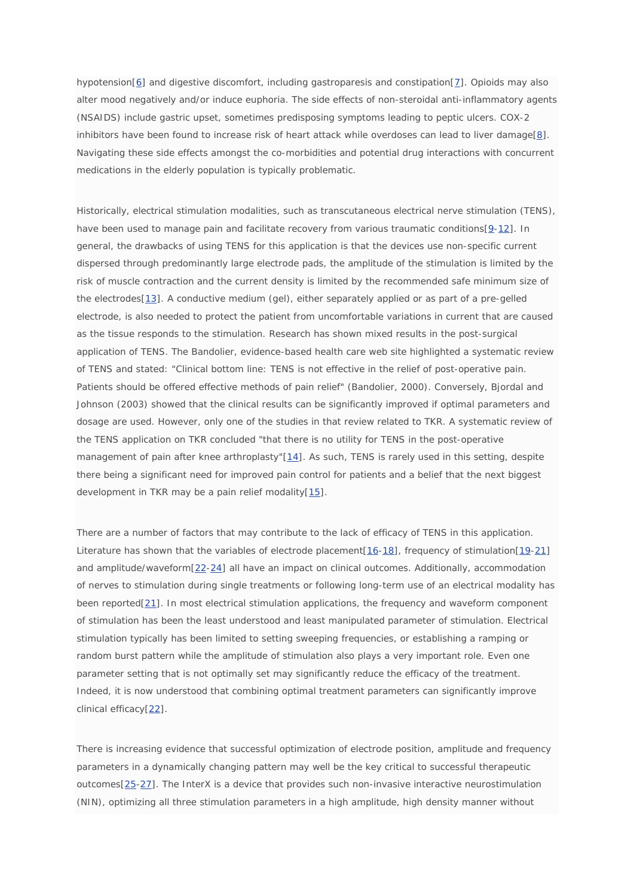hypotension[6] and digestive discomfort, including gastroparesis and constipation[7]. Opioids may also alter mood negatively and/or induce euphoria. The side effects of non-steroidal anti-inflammatory agents (NSAIDS) include gastric upset, sometimes predisposing symptoms leading to peptic ulcers. COX-2 inhibitors have been found to increase risk of heart attack while overdoses can lead to liver damage[8]. Navigating these side effects amongst the co-morbidities and potential drug interactions with concurrent medications in the elderly population is typically problematic.

Historically, electrical stimulation modalities, such as transcutaneous electrical nerve stimulation (TENS), have been used to manage pain and facilitate recovery from various traumatic conditions[9-12]. In general, the drawbacks of using TENS for this application is that the devices use non-specific current dispersed through predominantly large electrode pads, the amplitude of the stimulation is limited by the risk of muscle contraction and the current density is limited by the recommended safe minimum size of the electrodes[13]. A conductive medium (gel), either separately applied or as part of a pre-gelled electrode, is also needed to protect the patient from uncomfortable variations in current that are caused as the tissue responds to the stimulation. Research has shown mixed results in the post-surgical application of TENS. The Bandolier, evidence-based health care web site highlighted a systematic review of TENS and stated: "Clinical bottom line: TENS is not effective in the relief of post-operative pain. Patients should be offered effective methods of pain relief" (Bandolier, 2000). Conversely, Bjordal and Johnson (2003) showed that the clinical results can be significantly improved if optimal parameters and dosage are used. However, only one of the studies in that review related to TKR. A systematic review of the TENS application on TKR concluded "that there is no utility for TENS in the post-operative management of pain after knee arthroplasty"[14]. As such, TENS is rarely used in this setting, despite there being a significant need for improved pain control for patients and a belief that the next biggest development in TKR may be a pain relief modality[15].

There are a number of factors that may contribute to the lack of efficacy of TENS in this application. Literature has shown that the variables of electrode placement [16-18], frequency of stimulation [19-21] and amplitude/waveform[22-24] all have an impact on clinical outcomes. Additionally, accommodation of nerves to stimulation during single treatments or following long-term use of an electrical modality has been reported[21]. In most electrical stimulation applications, the frequency and waveform component of stimulation has been the least understood and least manipulated parameter of stimulation. Electrical stimulation typically has been limited to setting sweeping frequencies, or establishing a ramping or random burst pattern while the amplitude of stimulation also plays a very important role. Even one parameter setting that is not optimally set may significantly reduce the efficacy of the treatment. Indeed, it is now understood that combining optimal treatment parameters can significantly improve clinical efficacy[22].

There is increasing evidence that successful optimization of electrode position, amplitude and frequency parameters in a dynamically changing pattern may well be the key critical to successful therapeutic outcomes[25-27]. The InterX is a device that provides such non-invasive interactive neurostimulation (NIN), optimizing all three stimulation parameters in a high amplitude, high density manner without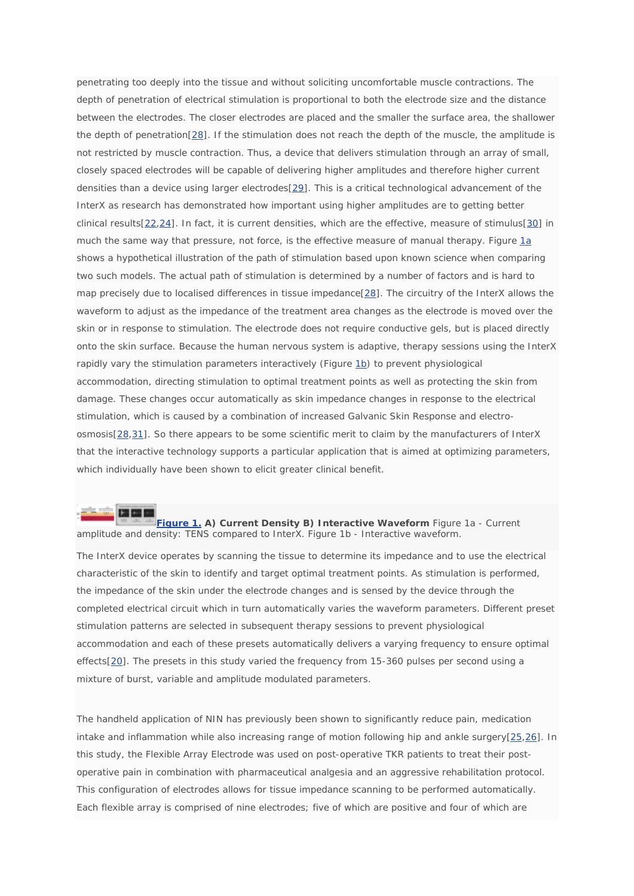penetrating too deeply into the tissue and without soliciting uncomfortable muscle contractions. The depth of penetration of electrical stimulation is proportional to both the electrode size and the distance between the electrodes. The closer electrodes are placed and the smaller the surface area, the shallower the depth of penetration[28]. If the stimulation does not reach the depth of the muscle, the amplitude is not restricted by muscle contraction. Thus, a device that delivers stimulation through an array of small, closely spaced electrodes will be capable of delivering higher amplitudes and therefore higher current densities than a device using larger electrodes[29]. This is a critical technological advancement of the InterX as research has demonstrated how important using higher amplitudes are to getting better clinical results[22,24]. In fact, it is current densities, which are the effective, measure of stimulus[30] in much the same way that pressure, not force, is the effective measure of manual therapy. Figure 1a shows a hypothetical illustration of the path of stimulation based upon known science when comparing two such models. The actual path of stimulation is determined by a number of factors and is hard to map precisely due to localised differences in tissue impedance[28]. The circuitry of the InterX allows the waveform to adjust as the impedance of the treatment area changes as the electrode is moved over the skin or in response to stimulation. The electrode does not require conductive gels, but is placed directly onto the skin surface. Because the human nervous system is adaptive, therapy sessions using the InterX rapidly vary the stimulation parameters interactively (Figure 1b) to prevent physiological accommodation, directing stimulation to optimal treatment points as well as protecting the skin from damage. These changes occur automatically as skin impedance changes in response to the electrical stimulation, which is caused by a combination of increased Galvanic Skin Response and electroosmosis[28,31]. So there appears to be some scientific merit to claim by the manufacturers of InterX that the interactive technology supports a particular application that is aimed at optimizing parameters, which individually have been shown to elicit greater clinical benefit.

### **PE 28 39**

**Figure 1. A) Current Density B) Interactive Waveform** Figure 1a - Current amplitude and density: TENS compared to InterX. Figure 1b - Interactive waveform.

The InterX device operates by scanning the tissue to determine its impedance and to use the electrical characteristic of the skin to identify and target optimal treatment points. As stimulation is performed, the impedance of the skin under the electrode changes and is sensed by the device through the completed electrical circuit which in turn automatically varies the waveform parameters. Different preset stimulation patterns are selected in subsequent therapy sessions to prevent physiological accommodation and each of these presets automatically delivers a varying frequency to ensure optimal effects[20]. The presets in this study varied the frequency from 15-360 pulses per second using a mixture of burst, variable and amplitude modulated parameters.

The handheld application of NIN has previously been shown to significantly reduce pain, medication intake and inflammation while also increasing range of motion following hip and ankle surgery[25,26]. In this study, the Flexible Array Electrode was used on post-operative TKR patients to treat their postoperative pain in combination with pharmaceutical analgesia and an aggressive rehabilitation protocol. This configuration of electrodes allows for tissue impedance scanning to be performed automatically. Each flexible array is comprised of nine electrodes; five of which are positive and four of which are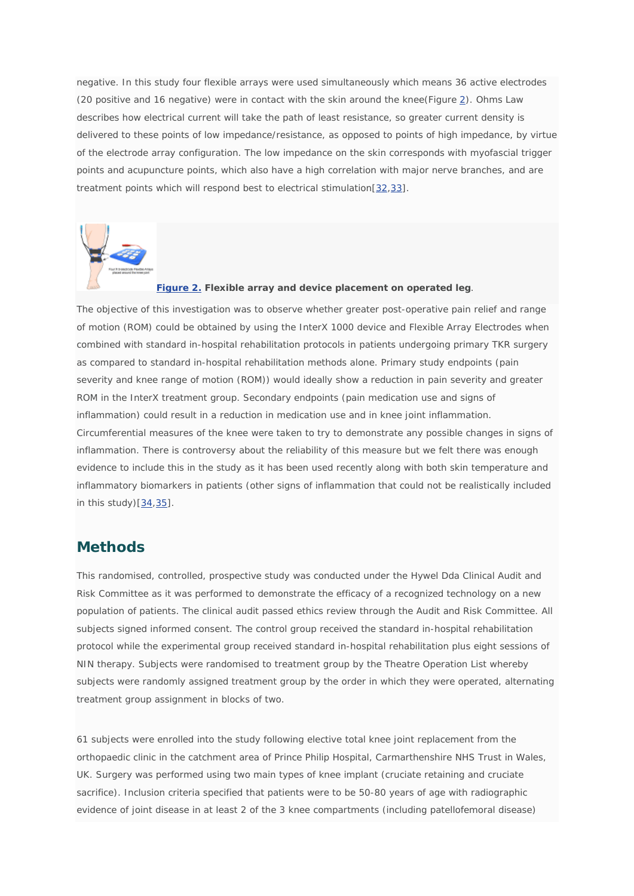negative. In this study four flexible arrays were used simultaneously which means 36 active electrodes (20 positive and 16 negative) were in contact with the skin around the knee(Figure 2). Ohms Law describes how electrical current will take the path of least resistance, so greater current density is delivered to these points of low impedance/resistance, as opposed to points of high impedance, by virtue of the electrode array configuration. The low impedance on the skin corresponds with myofascial trigger points and acupuncture points, which also have a high correlation with major nerve branches, and are treatment points which will respond best to electrical stimulation[32,33].



### **Figure 2. Flexible array and device placement on operated leg**.

The objective of this investigation was to observe whether greater post-operative pain relief and range of motion (ROM) could be obtained by using the InterX 1000 device and Flexible Array Electrodes when combined with standard in-hospital rehabilitation protocols in patients undergoing primary TKR surgery as compared to standard in-hospital rehabilitation methods alone. Primary study endpoints (pain severity and knee range of motion (ROM)) would ideally show a reduction in pain severity and greater ROM in the InterX treatment group. Secondary endpoints (pain medication use and signs of inflammation) could result in a reduction in medication use and in knee joint inflammation. Circumferential measures of the knee were taken to try to demonstrate any possible changes in signs of inflammation. There is controversy about the reliability of this measure but we felt there was enough evidence to include this in the study as it has been used recently along with both skin temperature and inflammatory biomarkers in patients (other signs of inflammation that could not be realistically included in this study) $[34, 35]$ .

## **Methods**

This randomised, controlled, prospective study was conducted under the Hywel Dda Clinical Audit and Risk Committee as it was performed to demonstrate the efficacy of a recognized technology on a new population of patients. The clinical audit passed ethics review through the Audit and Risk Committee. All subjects signed informed consent. The control group received the standard in-hospital rehabilitation protocol while the experimental group received standard in-hospital rehabilitation plus eight sessions of NIN therapy. Subjects were randomised to treatment group by the Theatre Operation List whereby subjects were randomly assigned treatment group by the order in which they were operated, alternating treatment group assignment in blocks of two.

61 subjects were enrolled into the study following elective total knee joint replacement from the orthopaedic clinic in the catchment area of Prince Philip Hospital, Carmarthenshire NHS Trust in Wales, UK. Surgery was performed using two main types of knee implant (cruciate retaining and cruciate sacrifice). Inclusion criteria specified that patients were to be 50-80 years of age with radiographic evidence of joint disease in at least 2 of the 3 knee compartments (including patellofemoral disease)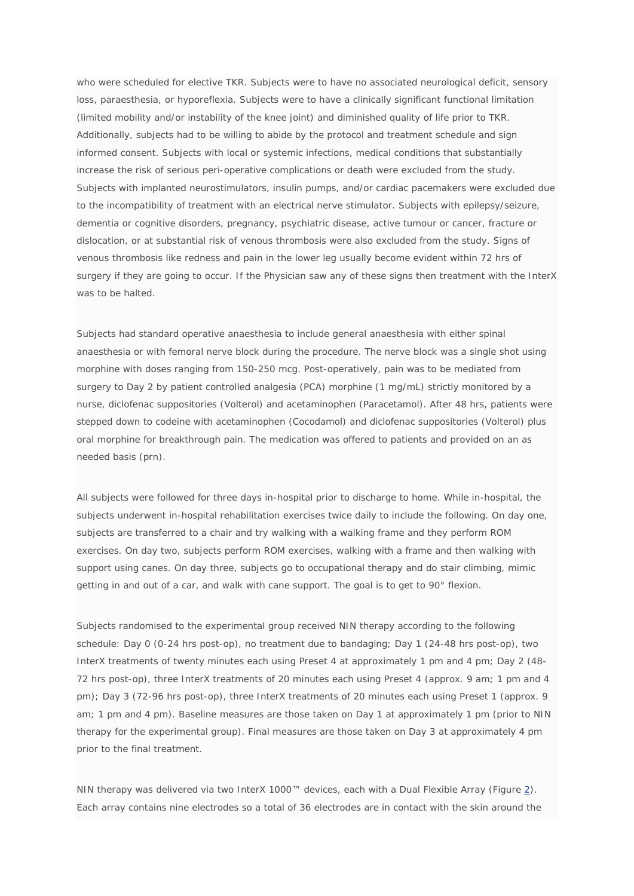who were scheduled for elective TKR. Subjects were to have no associated neurological deficit, sensory loss, paraesthesia, or hyporeflexia. Subjects were to have a clinically significant functional limitation (limited mobility and/or instability of the knee joint) and diminished quality of life prior to TKR. Additionally, subjects had to be willing to abide by the protocol and treatment schedule and sign informed consent. Subjects with local or systemic infections, medical conditions that substantially increase the risk of serious peri-operative complications or death were excluded from the study. Subjects with implanted neurostimulators, insulin pumps, and/or cardiac pacemakers were excluded due to the incompatibility of treatment with an electrical nerve stimulator. Subjects with epilepsy/seizure, dementia or cognitive disorders, pregnancy, psychiatric disease, active tumour or cancer, fracture or dislocation, or at substantial risk of venous thrombosis were also excluded from the study. Signs of venous thrombosis like redness and pain in the lower leg usually become evident within 72 hrs of surgery if they are going to occur. If the Physician saw any of these signs then treatment with the InterX was to be halted.

Subjects had standard operative anaesthesia to include general anaesthesia with either spinal anaesthesia or with femoral nerve block during the procedure. The nerve block was a single shot using morphine with doses ranging from 150-250 mcg. Post-operatively, pain was to be mediated from surgery to Day 2 by patient controlled analgesia (PCA) morphine (1 mg/mL) strictly monitored by a nurse, diclofenac suppositories (Volterol) and acetaminophen (Paracetamol). After 48 hrs, patients were stepped down to codeine with acetaminophen (Cocodamol) and diclofenac suppositories (Volterol) plus oral morphine for breakthrough pain. The medication was offered to patients and provided on an as needed basis (prn).

All subjects were followed for three days in-hospital prior to discharge to home. While in-hospital, the subjects underwent in-hospital rehabilitation exercises twice daily to include the following. On day one, subjects are transferred to a chair and try walking with a walking frame and they perform ROM exercises. On day two, subjects perform ROM exercises, walking with a frame and then walking with support using canes. On day three, subjects go to occupational therapy and do stair climbing, mimic getting in and out of a car, and walk with cane support. The goal is to get to 90° flexion.

Subjects randomised to the experimental group received NIN therapy according to the following schedule: Day 0 (0-24 hrs post-op), no treatment due to bandaging; Day 1 (24-48 hrs post-op), two InterX treatments of twenty minutes each using Preset 4 at approximately 1 pm and 4 pm; Day 2 (48- 72 hrs post-op), three InterX treatments of 20 minutes each using Preset 4 (approx. 9 am; 1 pm and 4 pm); Day 3 (72-96 hrs post-op), three InterX treatments of 20 minutes each using Preset 1 (approx. 9 am; 1 pm and 4 pm). Baseline measures are those taken on Day 1 at approximately 1 pm (prior to NIN therapy for the experimental group). Final measures are those taken on Day 3 at approximately 4 pm prior to the final treatment.

NIN therapy was delivered via two InterX 1000™ devices, each with a Dual Flexible Array (Figure 2). Each array contains nine electrodes so a total of 36 electrodes are in contact with the skin around the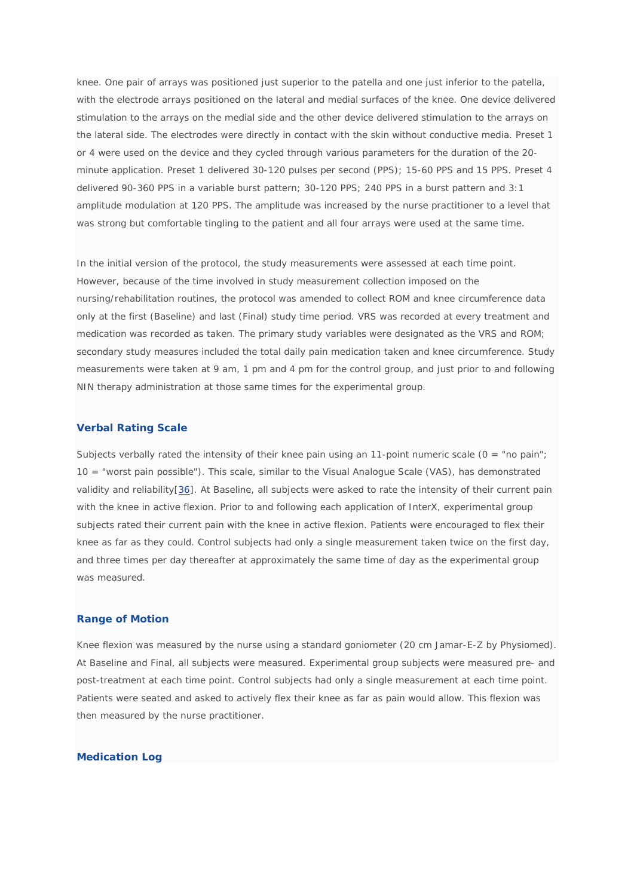knee. One pair of arrays was positioned just superior to the patella and one just inferior to the patella, with the electrode arrays positioned on the lateral and medial surfaces of the knee. One device delivered stimulation to the arrays on the medial side and the other device delivered stimulation to the arrays on the lateral side. The electrodes were directly in contact with the skin without conductive media. Preset 1 or 4 were used on the device and they cycled through various parameters for the duration of the 20 minute application. Preset 1 delivered 30-120 pulses per second (PPS); 15-60 PPS and 15 PPS. Preset 4 delivered 90-360 PPS in a variable burst pattern; 30-120 PPS; 240 PPS in a burst pattern and 3:1 amplitude modulation at 120 PPS. The amplitude was increased by the nurse practitioner to a level that was strong but comfortable tingling to the patient and all four arrays were used at the same time.

In the initial version of the protocol, the study measurements were assessed at each time point. However, because of the time involved in study measurement collection imposed on the nursing/rehabilitation routines, the protocol was amended to collect ROM and knee circumference data only at the first (Baseline) and last (Final) study time period. VRS was recorded at every treatment and medication was recorded as taken. The primary study variables were designated as the VRS and ROM; secondary study measures included the total daily pain medication taken and knee circumference. Study measurements were taken at 9 am, 1 pm and 4 pm for the control group, and just prior to and following NIN therapy administration at those same times for the experimental group.

### **Verbal Rating Scale**

Subjects verbally rated the intensity of their knee pain using an 11-point numeric scale  $(0 = "no pain";$ 10 = "worst pain possible"). This scale, similar to the Visual Analogue Scale (VAS), has demonstrated validity and reliability[36]. At Baseline, all subjects were asked to rate the intensity of their current pain with the knee in active flexion. Prior to and following each application of InterX, experimental group subjects rated their current pain with the knee in active flexion. Patients were encouraged to flex their knee as far as they could. Control subjects had only a single measurement taken twice on the first day, and three times per day thereafter at approximately the same time of day as the experimental group was measured.

### **Range of Motion**

Knee flexion was measured by the nurse using a standard goniometer (20 cm Jamar-E-Z by Physiomed). At Baseline and Final, all subjects were measured. Experimental group subjects were measured pre- and post-treatment at each time point. Control subjects had only a single measurement at each time point. Patients were seated and asked to actively flex their knee as far as pain would allow. This flexion was then measured by the nurse practitioner.

### **Medication Log**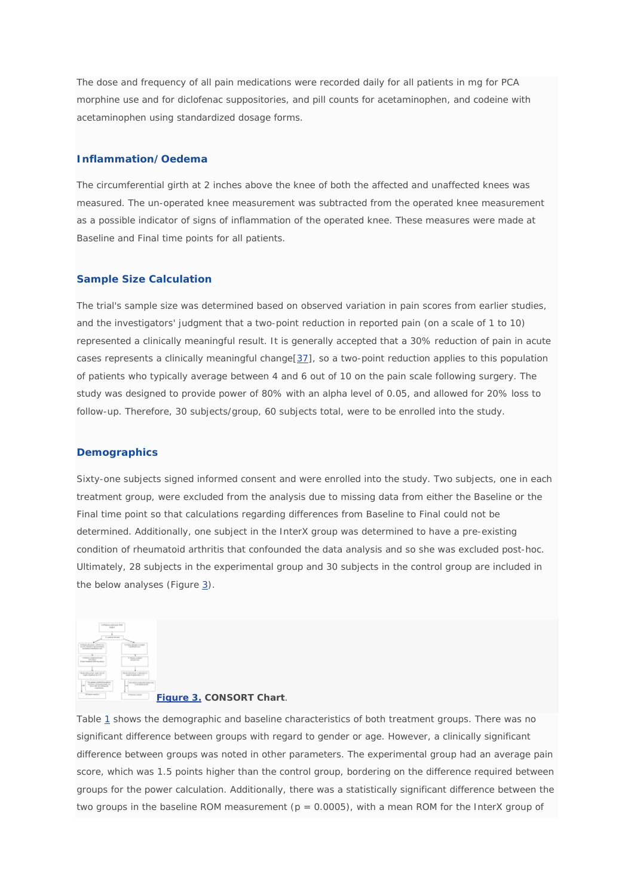The dose and frequency of all pain medications were recorded daily for all patients in mg for PCA morphine use and for diclofenac suppositories, and pill counts for acetaminophen, and codeine with acetaminophen using standardized dosage forms.

### **Inflammation/Oedema**

The circumferential girth at 2 inches above the knee of both the affected and unaffected knees was measured. The un-operated knee measurement was subtracted from the operated knee measurement as a possible indicator of signs of inflammation of the operated knee. These measures were made at Baseline and Final time points for all patients.

### **Sample Size Calculation**

The trial's sample size was determined based on observed variation in pain scores from earlier studies, and the investigators' judgment that a two-point reduction in reported pain (on a scale of 1 to 10) represented a clinically meaningful result. It is generally accepted that a 30% reduction of pain in acute cases represents a clinically meaningful change[37], so a two-point reduction applies to this population of patients who typically average between 4 and 6 out of 10 on the pain scale following surgery. The study was designed to provide power of 80% with an alpha level of 0.05, and allowed for 20% loss to follow-up. Therefore, 30 subjects/group, 60 subjects total, were to be enrolled into the study.

### **Demographics**

Sixty-one subjects signed informed consent and were enrolled into the study. Two subjects, one in each treatment group, were excluded from the analysis due to missing data from either the Baseline or the Final time point so that calculations regarding differences from Baseline to Final could not be determined. Additionally, one subject in the InterX group was determined to have a pre-existing condition of rheumatoid arthritis that confounded the data analysis and so she was excluded *post-hoc*. Ultimately, 28 subjects in the experimental group and 30 subjects in the control group are included in the below analyses (Figure  $3$ ).

**Figure 3. CONSORT Chart**.

Table 1 shows the demographic and baseline characteristics of both treatment groups. There was no significant difference between groups with regard to gender or age. However, a clinically significant difference between groups was noted in other parameters. The experimental group had an average pain score, which was 1.5 points higher than the control group, bordering on the difference required between groups for the power calculation. Additionally, there was a statistically significant difference between the two groups in the baseline ROM measurement ( $p = 0.0005$ ), with a mean ROM for the InterX group of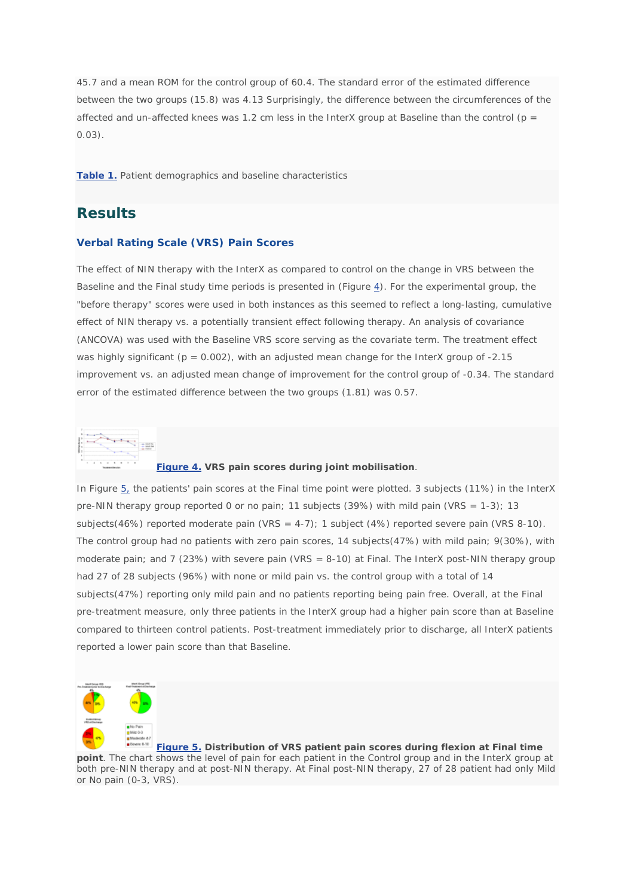45.7 and a mean ROM for the control group of 60.4. The standard error of the estimated difference between the two groups (15.8) was 4.13 Surprisingly, the difference between the circumferences of the affected and un-affected knees was 1.2 cm less in the InterX group at Baseline than the control ( $p =$ 0.03).

**Table 1.** Patient demographics and baseline characteristics

## **Results**

### **Verbal Rating Scale (VRS) Pain Scores**

The effect of NIN therapy with the InterX as compared to control on the change in VRS between the Baseline and the Final study time periods is presented in (Figure 4). For the experimental group, the "before therapy" scores were used in both instances as this seemed to reflect a long-lasting, cumulative effect of NIN therapy vs. a potentially transient effect following therapy. An analysis of covariance (ANCOVA) was used with the Baseline VRS score serving as the covariate term. The treatment effect was highly significant ( $p = 0.002$ ), with an adjusted mean change for the InterX group of -2.15 improvement vs. an adjusted mean change of improvement for the control group of -0.34. The standard error of the estimated difference between the two groups (1.81) was 0.57.



### **Figure 4. VRS pain scores during joint mobilisation**.

In Figure  $5$ , the patients' pain scores at the Final time point were plotted. 3 subjects (11%) in the InterX pre-NIN therapy group reported 0 or no pain; 11 subjects (39%) with mild pain (VRS = 1-3); 13 subjects(46%) reported moderate pain (VRS = 4-7); 1 subject (4%) reported severe pain (VRS 8-10). The control group had no patients with zero pain scores, 14 subjects(47%) with mild pain; 9(30%), with moderate pain; and 7 (23%) with severe pain (VRS = 8-10) at Final. The InterX post-NIN therapy group had 27 of 28 subjects (96%) with none or mild pain vs. the control group with a total of 14 subjects(47%) reporting only mild pain and no patients reporting being pain free. Overall, at the Final pre-treatment measure, only three patients in the InterX group had a higher pain score than at Baseline compared to thirteen control patients. Post-treatment immediately prior to discharge, all InterX patients reported a lower pain score than that Baseline.



**Figure 5. Distribution of VRS patient pain scores during flexion at Final time point**. The chart shows the level of pain for each patient in the Control group and in the InterX group at

both pre-NIN therapy and at post-NIN therapy. At Final post-NIN therapy, 27 of 28 patient had only Mild or No pain (0-3, VRS).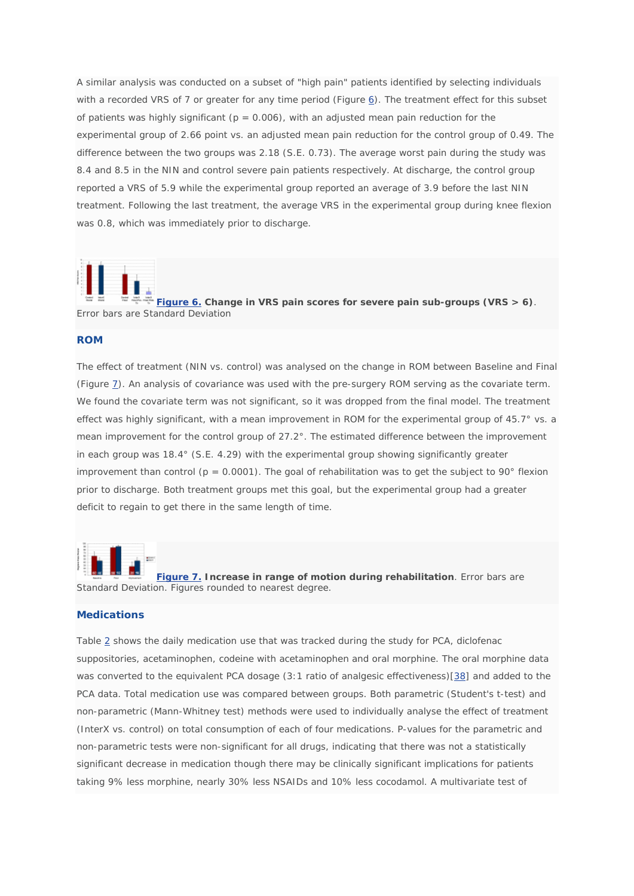A similar analysis was conducted on a subset of "high pain" patients identified by selecting individuals with a recorded VRS of 7 or greater for any time period (Figure  $6$ ). The treatment effect for this subset of patients was highly significant ( $p = 0.006$ ), with an adjusted mean pain reduction for the experimental group of 2.66 point vs. an adjusted mean pain reduction for the control group of 0.49. The difference between the two groups was 2.18 (S.E. 0.73). The average worst pain during the study was 8.4 and 8.5 in the NIN and control severe pain patients respectively. At discharge, the control group reported a VRS of 5.9 while the experimental group reported an average of 3.9 before the last NIN treatment. Following the last treatment, the average VRS in the experimental group during knee flexion was 0.8, which was immediately prior to discharge.



**Figure 6. Change in VRS pain scores for severe pain sub-groups (VRS > 6)**. Error bars are Standard Deviation

### **ROM**

The effect of treatment (NIN vs. control) was analysed on the change in ROM between Baseline and Final (Figure 7). An analysis of covariance was used with the pre-surgery ROM serving as the covariate term. We found the covariate term was not significant, so it was dropped from the final model. The treatment effect was highly significant, with a mean improvement in ROM for the experimental group of 45.7° vs. a mean improvement for the control group of 27.2°. The estimated difference between the improvement in each group was 18.4° (S.E. 4.29) with the experimental group showing significantly greater improvement than control ( $p = 0.0001$ ). The goal of rehabilitation was to get the subject to 90 $^{\circ}$  flexion prior to discharge. Both treatment groups met this goal, but the experimental group had a greater deficit to regain to get there in the same length of time.



**Figure 7. Increase in range of motion during rehabilitation**. Error bars are Standard Deviation. Figures rounded to nearest degree.

### **Medications**

Table 2 shows the daily medication use that was tracked during the study for PCA, diclofenac suppositories, acetaminophen, codeine with acetaminophen and oral morphine. The oral morphine data was converted to the equivalent PCA dosage (3:1 ratio of analgesic effectiveness)[38] and added to the PCA data. Total medication use was compared between groups. Both parametric (Student's t-test) and non-parametric (Mann-Whitney test) methods were used to individually analyse the effect of treatment (InterX vs. control) on total consumption of each of four medications. P-values for the parametric and non-parametric tests were non-significant for all drugs, indicating that there was not a statistically significant decrease in medication though there may be clinically significant implications for patients taking 9% less morphine, nearly 30% less NSAIDs and 10% less cocodamol. A multivariate test of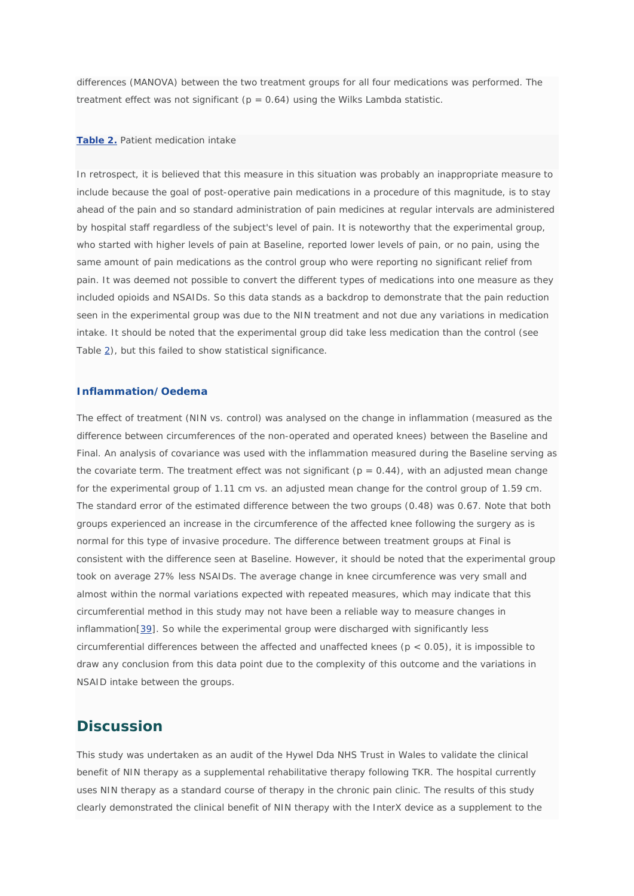differences (MANOVA) between the two treatment groups for all four medications was performed. The treatment effect was not significant ( $p = 0.64$ ) using the Wilks Lambda statistic.

### **Table 2.** Patient medication intake

In retrospect, it is believed that this measure in this situation was probably an inappropriate measure to include because the goal of post-operative pain medications in a procedure of this magnitude, is to stay ahead of the pain and so standard administration of pain medicines at regular intervals are administered by hospital staff regardless of the subject's level of pain. It is noteworthy that the experimental group, who started with higher levels of pain at Baseline, reported lower levels of pain, or no pain, using the same amount of pain medications as the control group who were reporting no significant relief from pain. It was deemed not possible to convert the different types of medications into one measure as they included opioids and NSAIDs. So this data stands as a backdrop to demonstrate that the pain reduction seen in the experimental group was due to the NIN treatment and not due any variations in medication intake. It should be noted that the experimental group did take less medication than the control (see Table 2), but this failed to show statistical significance.

### **Inflammation/Oedema**

The effect of treatment (NIN vs. control) was analysed on the change in inflammation (measured as the difference between circumferences of the non-operated and operated knees) between the Baseline and Final. An analysis of covariance was used with the inflammation measured during the Baseline serving as the covariate term. The treatment effect was not significant ( $p = 0.44$ ), with an adjusted mean change for the experimental group of 1.11 cm vs. an adjusted mean change for the control group of 1.59 cm. The standard error of the estimated difference between the two groups (0.48) was 0.67. Note that both groups experienced an increase in the circumference of the affected knee following the surgery as is normal for this type of invasive procedure. The difference between treatment groups at Final is consistent with the difference seen at Baseline. However, it should be noted that the experimental group took on average 27% less NSAIDs. The average change in knee circumference was very small and almost within the normal variations expected with repeated measures, which may indicate that this circumferential method in this study may not have been a reliable way to measure changes in inflammation[39]. So while the experimental group were discharged with significantly less circumferential differences between the affected and unaffected knees ( $p < 0.05$ ), it is impossible to draw any conclusion from this data point due to the complexity of this outcome and the variations in NSAID intake between the groups.

## **Discussion**

This study was undertaken as an audit of the Hywel Dda NHS Trust in Wales to validate the clinical benefit of NIN therapy as a supplemental rehabilitative therapy following TKR. The hospital currently uses NIN therapy as a standard course of therapy in the chronic pain clinic. The results of this study clearly demonstrated the clinical benefit of NIN therapy with the InterX device as a supplement to the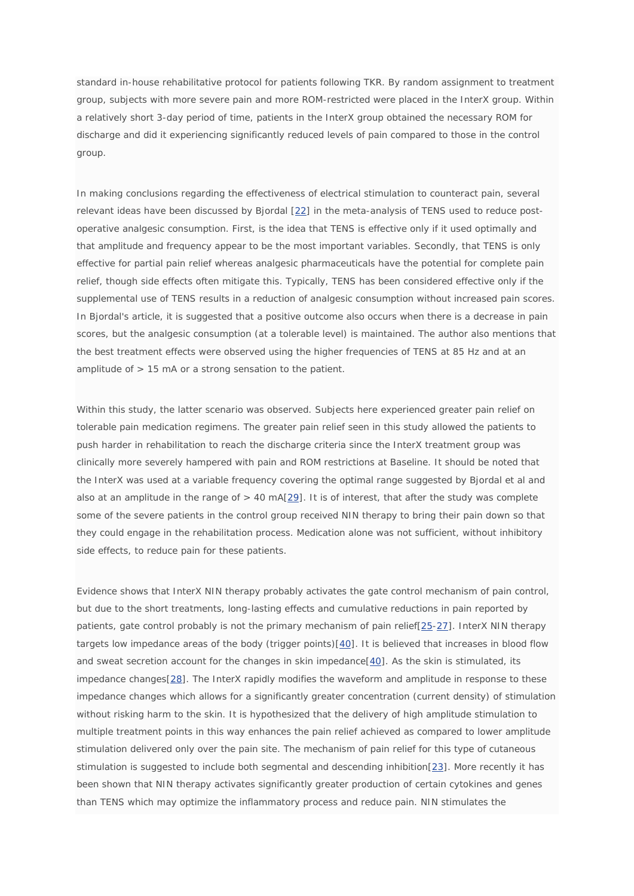standard in-house rehabilitative protocol for patients following TKR. By random assignment to treatment group, subjects with more severe pain and more ROM-restricted were placed in the InterX group. Within a relatively short 3-day period of time, patients in the InterX group obtained the necessary ROM for discharge and did it experiencing significantly reduced levels of pain compared to those in the control group.

In making conclusions regarding the effectiveness of electrical stimulation to counteract pain, several relevant ideas have been discussed by Bjordal [22] in the meta-analysis of TENS used to reduce postoperative analgesic consumption. First, is the idea that TENS is effective *only* if it used optimally and that amplitude and frequency appear to be the most important variables. Secondly, that TENS is only effective for partial pain relief whereas analgesic pharmaceuticals have the potential for complete pain relief, though side effects often mitigate this. Typically, TENS has been considered effective only if the supplemental use of TENS results in a reduction of analgesic consumption without increased pain scores. In Bjordal's article, it is suggested that a positive outcome also occurs when there is a decrease in pain scores, but the analgesic consumption (at a tolerable level) is maintained. The author also mentions that the best treatment effects were observed using the higher frequencies of TENS at 85 Hz and at an amplitude of > 15 mA or a strong sensation to the patient.

Within this study, the latter scenario was observed. Subjects here experienced greater pain relief on tolerable pain medication regimens. The greater pain relief seen in this study allowed the patients to push harder in rehabilitation to reach the discharge criteria since the InterX treatment group was clinically more severely hampered with pain and ROM restrictions at Baseline. It should be noted that the InterX was used at a variable frequency covering the optimal range suggested by Bjordal et al and also at an amplitude in the range of  $> 40 \text{ mA}$ [29]. It is of interest, that after the study was complete some of the severe patients in the control group received NIN therapy to bring their pain down so that they could engage in the rehabilitation process. Medication alone was not sufficient, without inhibitory side effects, to reduce pain for these patients.

Evidence shows that InterX NIN therapy probably activates the gate control mechanism of pain control, but due to the short treatments, long-lasting effects and cumulative reductions in pain reported by patients, gate control probably is not the primary mechanism of pain relief[25-27]. InterX NIN therapy targets low impedance areas of the body (trigger points)[40]. It is believed that increases in blood flow and sweat secretion account for the changes in skin impedance[40]. As the skin is stimulated, its impedance changes[28]. The InterX rapidly modifies the waveform and amplitude in response to these impedance changes which allows for a significantly greater concentration (current density) of stimulation without risking harm to the skin. It is hypothesized that the delivery of high amplitude stimulation to multiple treatment points in this way enhances the pain relief achieved as compared to lower amplitude stimulation delivered only over the pain site. The mechanism of pain relief for this type of cutaneous stimulation is suggested to include both segmental and descending inhibition[23]. More recently it has been shown that NIN therapy activates significantly greater production of certain cytokines and genes than TENS which may optimize the inflammatory process and reduce pain. NIN stimulates the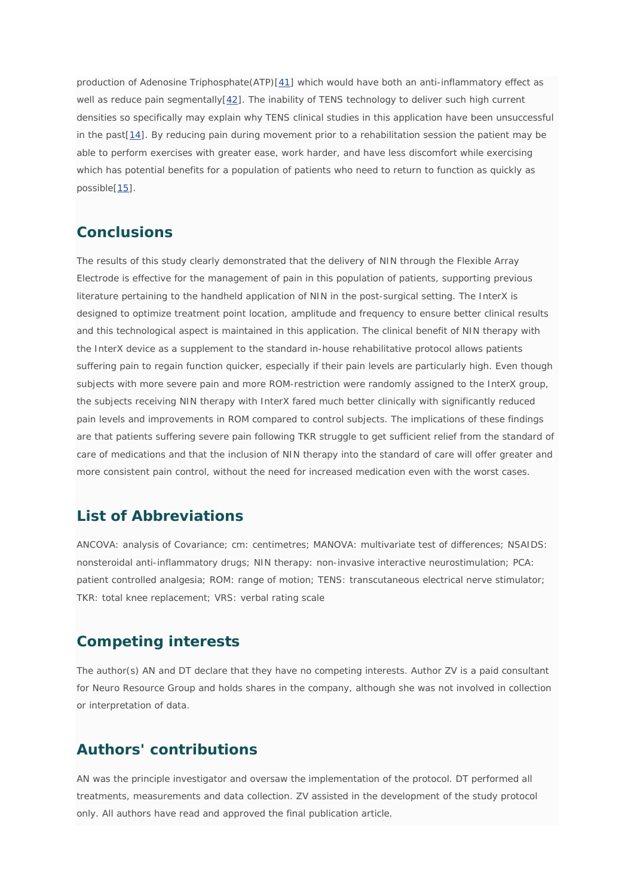production of Adenosine Triphosphate(ATP)[41] which would have both an anti-inflammatory effect as well as reduce pain segmentally[42]. The inability of TENS technology to deliver such high current densities so specifically may explain why TENS clinical studies in this application have been unsuccessful in the past[14]. By reducing pain during movement prior to a rehabilitation session the patient may be able to perform exercises with greater ease, work harder, and have less discomfort while exercising which has potential benefits for a population of patients who need to return to function as quickly as possible[15].

# **Conclusions**

The results of this study clearly demonstrated that the delivery of NIN through the Flexible Array Electrode is effective for the management of pain in this population of patients, supporting previous literature pertaining to the handheld application of NIN in the post-surgical setting. The InterX is designed to optimize treatment point location, amplitude and frequency to ensure better clinical results and this technological aspect is maintained in this application. The clinical benefit of NIN therapy with the InterX device as a supplement to the standard in-house rehabilitative protocol allows patients suffering pain to regain function quicker, especially if their pain levels are particularly high. Even though subjects with more severe pain and more ROM-restriction were randomly assigned to the InterX group, the subjects receiving NIN therapy with InterX fared much better clinically with significantly reduced pain levels and improvements in ROM compared to control subjects. The implications of these findings are that patients suffering severe pain following TKR struggle to get sufficient relief from the standard of care of medications and that the inclusion of NIN therapy into the standard of care will offer greater and more consistent pain control, without the need for increased medication even with the worst cases.

# **List of Abbreviations**

ANCOVA: analysis of Covariance; cm: centimetres; MANOVA: multivariate test of differences; NSAIDS: nonsteroidal anti-inflammatory drugs; NIN therapy: non-invasive interactive neurostimulation; PCA: patient controlled analgesia; ROM: range of motion; TENS: transcutaneous electrical nerve stimulator; TKR: total knee replacement; VRS: verbal rating scale

# **Competing interests**

The author(s) AN and DT declare that they have no competing interests. Author ZV is a paid consultant for Neuro Resource Group and holds shares in the company, although she was not involved in collection or interpretation of data.

# **Authors' contributions**

AN was the principle investigator and oversaw the implementation of the protocol. DT performed all treatments, measurements and data collection. ZV assisted in the development of the study protocol only. All authors have read and approved the final publication article.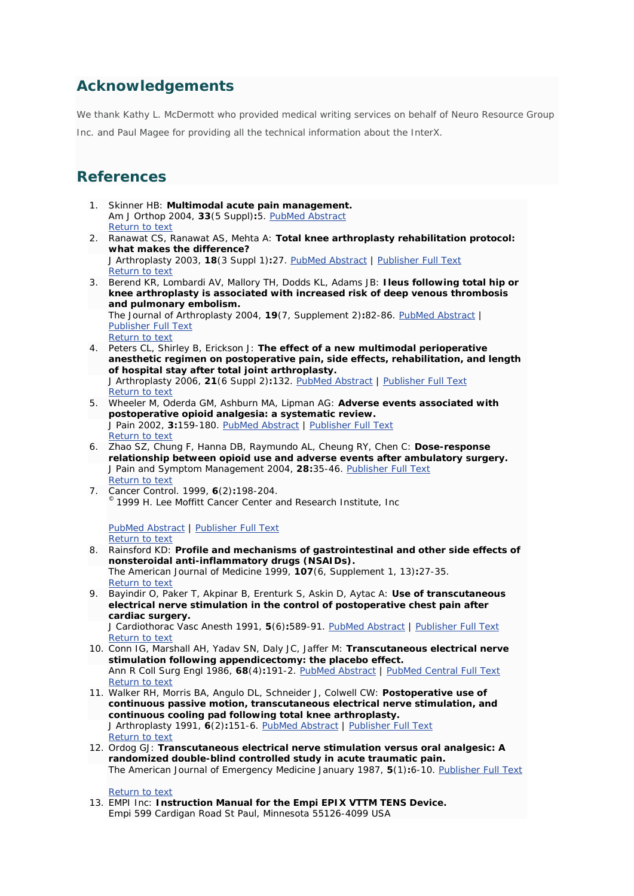# **Acknowledgements**

We thank Kathy L. McDermott who provided medical writing services on behalf of Neuro Resource Group Inc. and Paul Magee for providing all the technical information about the InterX.

# **References**

- 1. Skinner HB: **Multimodal acute pain management.**  *Am J Orthop* 2004, **33**(5 Suppl)**:**5. PubMed Abstract Return to text
- 2. Ranawat CS, Ranawat AS, Mehta A: **Total knee arthroplasty rehabilitation protocol: what makes the difference?**  *J Arthroplasty* 2003, **18**(3 Suppl 1)**:**27. PubMed Abstract | Publisher Full Text Return to text
- 3. Berend KR, Lombardi AV, Mallory TH, Dodds KL, Adams JB: **Ileus following total hip or knee arthroplasty is associated with increased risk of deep venous thrombosis and pulmonary embolism.**

*The Journal of Arthroplasty* 2004, **19**(7, Supplement 2)**:**82-86. PubMed Abstract | Publisher Full Text

- Return to text
- 4. Peters CL, Shirley B, Erickson J: **The effect of a new multimodal perioperative anesthetic regimen on postoperative pain, side effects, rehabilitation, and length of hospital stay after total joint arthroplasty.**  *J Arthroplasty* 2006, **21**(6 Suppl 2)**:**132. PubMed Abstract | Publisher Full Text Return to text
- 5. Wheeler M, Oderda GM, Ashburn MA, Lipman AG: **Adverse events associated with postoperative opioid analgesia: a systematic review.**  *J Pain* 2002, **3:**159-180. PubMed Abstract | Publisher Full Text Return to text
- 6. Zhao SZ, Chung F, Hanna DB, Raymundo AL, Cheung RY, Chen C: **Dose-response relationship between opioid use and adverse events after ambulatory surgery.**  *J Pain and Symptom Management* 2004, **28:**35-46. Publisher Full Text
- Return to text<br>7. Cancer Control. 1999, 6(2):198-204. <sup>2</sup> 1999 H. Lee Moffitt Cancer Center and Research Institute, Inc

PubMed Abstract | Publisher Full Text Return to text

- 8. Rainsford KD: **Profile and mechanisms of gastrointestinal and other side effects of nonsteroidal anti-inflammatory drugs (NSAIDs).**  *The American Journal of Medicine* 1999, **107**(6, Supplement 1, 13)**:**27-35. Return to text
- 9. Bayindir O, Paker T, Akpinar B, Erenturk S, Askin D, Aytac A: **Use of transcutaneous electrical nerve stimulation in the control of postoperative chest pain after cardiac surgery.**

*J Cardiothorac Vasc Anesth* 1991, **5**(6)**:**589-91. PubMed Abstract | Publisher Full Text Return to text

- 10. Conn IG, Marshall AH, Yadav SN, Daly JC, Jaffer M: **Transcutaneous electrical nerve stimulation following appendicectomy: the placebo effect.**  *Ann R Coll Surg Engl* 1986, **68**(4)**:**191-2. PubMed Abstract | PubMed Central Full Text Return to text
- 11. Walker RH, Morris BA, Angulo DL, Schneider J, Colwell CW: **Postoperative use of continuous passive motion, transcutaneous electrical nerve stimulation, and continuous cooling pad following total knee arthroplasty.**  *J Arthroplasty* 1991, **6**(2)**:**151-6. PubMed Abstract | Publisher Full Text Return to text
- 12. Ordog GJ: **Transcutaneous electrical nerve stimulation versus oral analgesic: A randomized double-blind controlled study in acute traumatic pain.**  *The American Journal of Emergency Medicine January* 1987, **5**(1)**:**6-10. Publisher Full Text

Return to text

13. EMPI Inc: **Instruction Manual for the Empi EPIX VTTM TENS Device.**  *Empi 599 Cardigan Road St Paul, Minnesota 55126-4099 USA*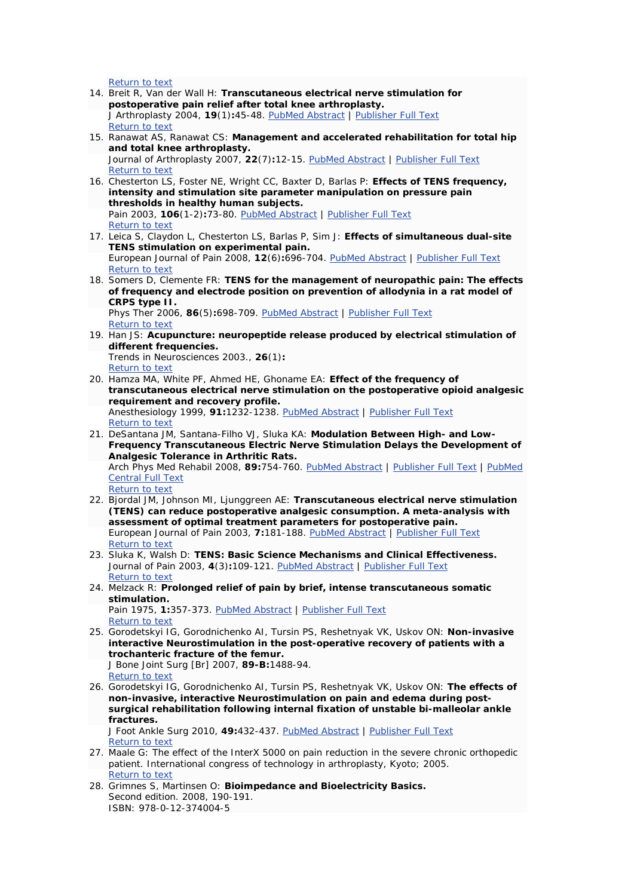Return to text

- 14. Breit R, Van der Wall H: **Transcutaneous electrical nerve stimulation for postoperative pain relief after total knee arthroplasty.**  *J Arthroplasty* 2004, **19**(1)**:**45-48. PubMed Abstract | Publisher Full Text Return to text
- 15. Ranawat AS, Ranawat CS: **Management and accelerated rehabilitation for total hip and total knee arthroplasty.**  *Journal of Arthroplasty* 2007, **22**(7)**:**12-15. PubMed Abstract | Publisher Full Text Return to text
- 16. Chesterton LS, Foster NE, Wright CC, Baxter D, Barlas P: **Effects of TENS frequency, intensity and stimulation site parameter manipulation on pressure pain thresholds in healthy human subjects.**  *Pain* 2003, **106**(1-2)**:**73-80. PubMed Abstract | Publisher Full Text Return to text
- 17. Leica S, Claydon L, Chesterton LS, Barlas P, Sim J: **Effects of simultaneous dual-site TENS stimulation on experimental pain.**  *European Journal of Pain* 2008, **12**(6)**:**696-704. PubMed Abstract | Publisher Full Text Return to text
- 18. Somers D, Clemente FR: **TENS for the management of neuropathic pain: The effects of frequency and electrode position on prevention of allodynia in a rat model of CRPS type II.**

*Phys Ther* 2006, **86**(5)**:**698-709. PubMed Abstract | Publisher Full Text Return to text

19. Han JS: **Acupuncture: neuropeptide release produced by electrical stimulation of different frequencies.** 

*Trends in Neurosciences* 2003., **26**(1)**:** Return to text

20. Hamza MA, White PF, Ahmed HE, Ghoname EA: **Effect of the frequency of transcutaneous electrical nerve stimulation on the postoperative opioid analgesic requirement and recovery profile.** 

*Anesthesiology* 1999, **91:**1232-1238. PubMed Abstract | Publisher Full Text Return to text

21. DeSantana JM, Santana-Filho VJ, Sluka KA: **Modulation Between High- and Low-Frequency Transcutaneous Electric Nerve Stimulation Delays the Development of Analgesic Tolerance in Arthritic Rats.** 

*Arch Phys Med Rehabil* 2008, **89:**754-760. PubMed Abstract | Publisher Full Text | PubMed Central Full Text

Return to text

- 22. Bjordal JM, Johnson MI, Ljunggreen AE: **Transcutaneous electrical nerve stimulation (TENS) can reduce postoperative analgesic consumption. A meta-analysis with assessment of optimal treatment parameters for postoperative pain.**  *European Journal of Pain* 2003, **7:**181-188. PubMed Abstract | Publisher Full Text Return to text
- 23. Sluka K, Walsh D: **TENS: Basic Science Mechanisms and Clinical Effectiveness.**  *Journal of Pain* 2003, **4**(3)**:**109-121. PubMed Abstract | Publisher Full Text Return to text
- 24. Melzack R: **Prolonged relief of pain by brief, intense transcutaneous somatic stimulation.**

Pain 1975, 1:357-373. PubMed Abstract | Publisher Full Text Return to text

25. Gorodetskyi IG, Gorodnichenko AI, Tursin PS, Reshetnyak VK, Uskov ON: **Non-invasive interactive Neurostimulation in the post-operative recovery of patients with a trochanteric fracture of the femur.**  *J Bone Joint Surg [Br]* 2007, **89-B:**1488-94.

Return to text

26. Gorodetskyi IG, Gorodnichenko AI, Tursin PS, Reshetnyak VK, Uskov ON: **The effects of non-invasive, interactive Neurostimulation on pain and edema during postsurgical rehabilitation following internal fixation of unstable bi-malleolar ankle fractures.** 

*J Foot Ankle Surg* 2010, **49:**432-437. PubMed Abstract | Publisher Full Text Return to text

- 27. Maale G: *The effect of the InterX 5000 on pain reduction in the severe chronic orthopedic patient.* International congress of technology in arthroplasty, Kyoto; 2005. Return to text
- 28. Grimnes S, Martinsen O: **Bioimpedance and Bioelectricity Basics.**  Second edition. 2008, 190-191. ISBN: 978-0-12-374004-5